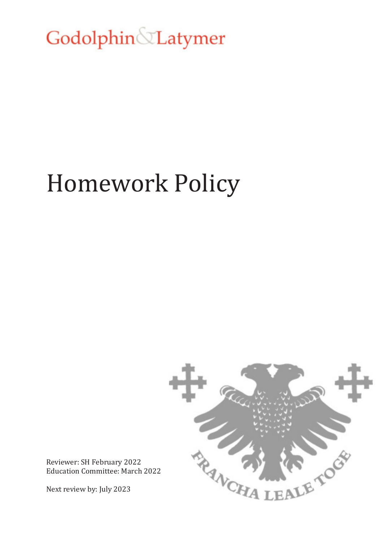Godolphin Latymer

# Homework Policy



Reviewer: SH February 2022 Education Committee: March 2022

Next review by: July 2023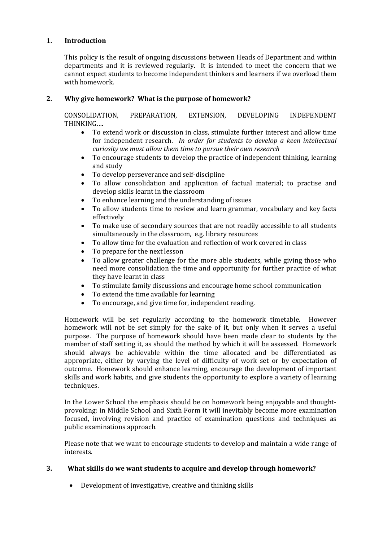## **1. Introduction**

This policy is the result of ongoing discussions between Heads of Department and within departments and it is reviewed regularly. It is intended to meet the concern that we cannot expect students to become independent thinkers and learners if we overload them with homework.

### **2. Why give homework? What is the purpose of homework?**

CONSOLIDATION, PREPARATION, EXTENSION, DEVELOPING INDEPENDENT THINKING….

- To extend work or discussion in class, stimulate further interest and allow time for independent research. *In order for students to develop a keen intellectual curiosity we must allow them time to pursue their own research*
- To encourage students to develop the practice of independent thinking, learning and study
- To develop perseverance and self-discipline
- To allow consolidation and application of factual material; to practise and develop skills learnt in the classroom
- To enhance learning and the understanding of issues
- To allow students time to review and learn grammar, vocabulary and key facts effectively
- To make use of secondary sources that are not readily accessible to all students simultaneously in the classroom, e.g. library resources
- To allow time for the evaluation and reflection of work covered in class
- To prepare for the next lesson
- To allow greater challenge for the more able students, while giving those who need more consolidation the time and opportunity for further practice of what they have learnt in class
- To stimulate family discussions and encourage home school communication
- To extend the time available for learning
- To encourage, and give time for, independent reading.

Homework will be set regularly according to the homework timetable. However homework will not be set simply for the sake of it, but only when it serves a useful purpose. The purpose of homework should have been made clear to students by the member of staff setting it, as should the method by which it will be assessed. Homework should always be achievable within the time allocated and be differentiated as appropriate, either by varying the level of difficulty of work set or by expectation of outcome. Homework should enhance learning, encourage the development of important skills and work habits, and give students the opportunity to explore a variety of learning techniques.

In the Lower School the emphasis should be on homework being enjoyable and thoughtprovoking; in Middle School and Sixth Form it will inevitably become more examination focused, involving revision and practice of examination questions and techniques as public examinations approach.

Please note that we want to encourage students to develop and maintain a wide range of interests.

### **3. What skills do we want students to acquire and develop through homework?**

Development of investigative, creative and thinking skills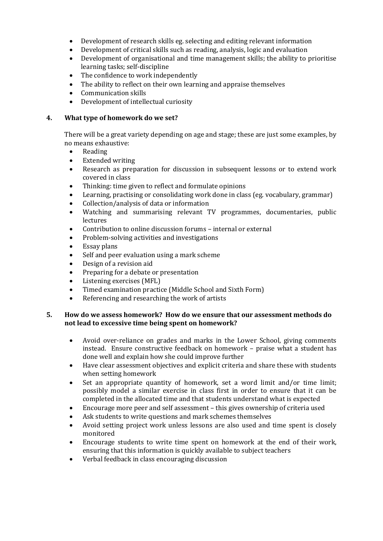- Development of research skills eg. selecting and editing relevant information
- Development of critical skills such as reading, analysis, logic and evaluation
- Development of organisational and time management skills; the ability to prioritise learning tasks; self-discipline
- The confidence to work independently
- The ability to reflect on their own learning and appraise themselves
- Communication skills
- Development of intellectual curiosity

### **4. What type of homework do we set?**

There will be a great variety depending on age and stage; these are just some examples, by no means exhaustive:

- Reading
- Extended writing
- Research as preparation for discussion in subsequent lessons or to extend work covered in class
- Thinking: time given to reflect and formulate opinions
- Learning, practising or consolidating work done in class (eg. vocabulary, grammar)
- Collection/analysis of data or information
- Watching and summarising relevant TV programmes, documentaries, public lectures
- Contribution to online discussion forums internal or external
- Problem-solving activities and investigations
- Essay plans
- Self and peer evaluation using a mark scheme
- Design of a revision aid
- Preparing for a debate or presentation
- Listening exercises (MFL)
- Timed examination practice (Middle School and Sixth Form)
- Referencing and researching the work of artists

### **5. How do we assess homework? How do we ensure that our assessment methods do not lead to excessive time being spent on homework?**

- Avoid over-reliance on grades and marks in the Lower School, giving comments instead. Ensure constructive feedback on homework – praise what a student has done well and explain how she could improve further
- Have clear assessment objectives and explicit criteria and share these with students when setting homework
- Set an appropriate quantity of homework, set a word limit and/or time limit; possibly model a similar exercise in class first in order to ensure that it can be completed in the allocated time and that students understand what is expected
- Encourage more peer and self assessment this gives ownership of criteria used
- Ask students to write questions and mark schemes themselves
- Avoid setting project work unless lessons are also used and time spent is closely monitored
- Encourage students to write time spent on homework at the end of their work, ensuring that this information is quickly available to subject teachers
- Verbal feedback in class encouraging discussion